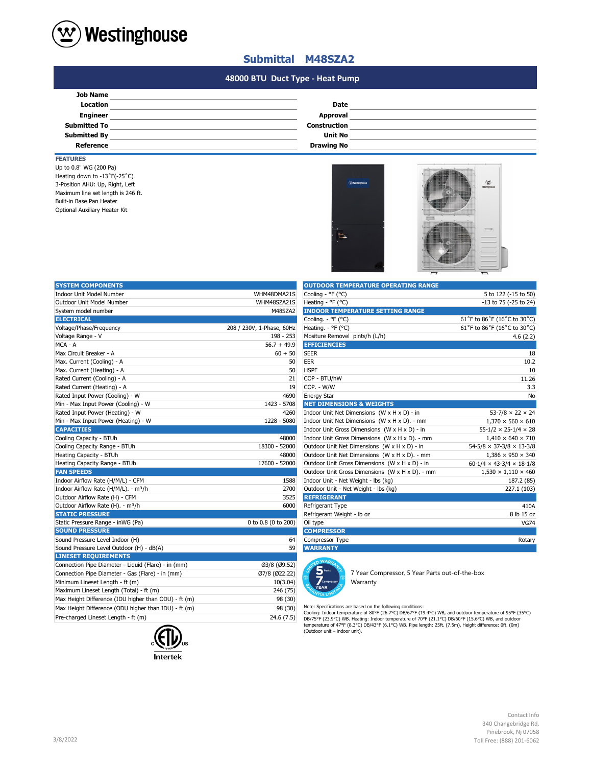

## **Submittal M48SZA2**

#### **#N/A #N/A 48000 BTU Duct Type - Heat Pump**

| <b>Job Name</b>     |                     |  |
|---------------------|---------------------|--|
|                     |                     |  |
| <b>Location</b>     | <b>Date</b>         |  |
| <b>Engineer</b>     | Approval            |  |
| <b>Submitted To</b> | <b>Construction</b> |  |
| <b>Submitted By</b> | <b>Unit No</b>      |  |
| Reference           | <b>Drawing No</b>   |  |

### **FEATURES**

Optional Auxiliary Heater Kit 3-Position AHU: Up, Right, Left Up to 0.8" WG (200 Pa) Heating down to -13˚F(-25˚C) Maximum line set length is 246 ft. Built-in Base Pan Heater



| <b>SYSTEM COMPONENTS</b>                             |                           | <b>OUTDOOR TEMPERATURE OPERATING RANGE</b>                                                                                                                                                                                                                                       |                                            |
|------------------------------------------------------|---------------------------|----------------------------------------------------------------------------------------------------------------------------------------------------------------------------------------------------------------------------------------------------------------------------------|--------------------------------------------|
| Indoor Unit Model Number                             | WHM48DMA21S               | Cooling - °F (°C)                                                                                                                                                                                                                                                                | 5 to 122 (-15 to 50)                       |
| Outdoor Unit Model Number                            | WHM48SZA21S               | Heating - °F (°C)                                                                                                                                                                                                                                                                | -13 to 75 (-25 to 24)                      |
| System model number                                  | M48SZA2                   | <b>INDOOR TEMPERATURE SETTING RANGE</b>                                                                                                                                                                                                                                          |                                            |
| <b>ELECTRICAL</b>                                    |                           | Cooling. - °F (°C)                                                                                                                                                                                                                                                               | 61°F to 86°F (16°C to 30°C)                |
| Voltage/Phase/Frequency                              | 208 / 230V, 1-Phase, 60Hz | Heating. - ${}^{\circ}$ F ( ${}^{\circ}$ C)                                                                                                                                                                                                                                      | 61°F to 86°F (16°C to 30°C)                |
| Voltage Range - V                                    | 198 - 253                 | Mositure Removel pints/h (L/h)                                                                                                                                                                                                                                                   | 4.6(2.2)                                   |
| MCA - A                                              | $56.7 + 49.9$             | <b>EFFICIENCIES</b>                                                                                                                                                                                                                                                              |                                            |
| Max Circuit Breaker - A                              | $60 + 50$                 | <b>SEER</b>                                                                                                                                                                                                                                                                      | 18                                         |
| Max. Current (Cooling) - A                           | 50                        | EER                                                                                                                                                                                                                                                                              | 10.2                                       |
| Max. Current (Heating) - A                           | 50                        | <b>HSPF</b>                                                                                                                                                                                                                                                                      | 10                                         |
| Rated Current (Cooling) - A                          | 21                        | COP - BTU/hW                                                                                                                                                                                                                                                                     | 11.26                                      |
| Rated Current (Heating) - A                          | 19                        | COP. - W/W                                                                                                                                                                                                                                                                       | 3.3                                        |
| Rated Input Power (Cooling) - W                      | 4690                      | <b>Energy Star</b>                                                                                                                                                                                                                                                               | No                                         |
| Min - Max Input Power (Cooling) - W                  | 1423 - 5708               | <b>NET DIMENSIONS &amp; WEIGHTS</b>                                                                                                                                                                                                                                              |                                            |
| Rated Input Power (Heating) - W                      | 4260                      | Indoor Unit Net Dimensions (W x H x D) - in                                                                                                                                                                                                                                      | $53 - 7/8 \times 22 \times 24$             |
| Min - Max Input Power (Heating) - W                  | 1228 - 5080               | Indoor Unit Net Dimensions (W x H x D). - mm                                                                                                                                                                                                                                     | $1,370 \times 560 \times 610$              |
| <b>CAPACITIES</b>                                    |                           | Indoor Unit Gross Dimensions (W x H x D) - in                                                                                                                                                                                                                                    | $55 - 1/2 \times 25 - 1/4 \times 28$       |
| Cooling Capacity - BTUh                              | 48000                     | Indoor Unit Gross Dimensions (W x H x D). - mm                                                                                                                                                                                                                                   | $1,410 \times 640 \times 710$              |
| Cooling Capacity Range - BTUh                        | 18300 - 52000             | Outdoor Unit Net Dimensions $(W \times H \times D)$ - in                                                                                                                                                                                                                         | $54 - 5/8 \times 37 - 3/8 \times 13 - 3/8$ |
| Heating Capacity - BTUh                              | 48000                     | Outdoor Unit Net Dimensions (W x H x D). - mm                                                                                                                                                                                                                                    | $1,386 \times 950 \times 340$              |
| Heating Capacity Range - BTUh                        | 17600 - 52000             | Outdoor Unit Gross Dimensions (W x H x D) - in                                                                                                                                                                                                                                   | $60-1/4 \times 43-3/4 \times 18-1/8$       |
| <b>FAN SPEEDS</b>                                    |                           | Outdoor Unit Gross Dimensions (W x H x D). - mm                                                                                                                                                                                                                                  | $1,530 \times 1,110 \times 460$            |
| Indoor Airflow Rate (H/M/L) - CFM                    | 1588                      | Indoor Unit - Net Weight - lbs (kg)                                                                                                                                                                                                                                              | 187.2 (85)                                 |
| Indoor Airflow Rate (H/M/L). - m <sup>3</sup> /h     | 2700                      | Outdoor Unit - Net Weight - lbs (kg)                                                                                                                                                                                                                                             | 227.1 (103)                                |
| Outdoor Airflow Rate (H) - CFM                       | 3525                      | <b>REFRIGERANT</b>                                                                                                                                                                                                                                                               |                                            |
| Outdoor Airflow Rate (H). - m <sup>3</sup> /h        | 6000                      | Refrigerant Type                                                                                                                                                                                                                                                                 | 410A                                       |
| <b>STATIC PRESSURE</b>                               |                           | Refrigerant Weight - Ib oz                                                                                                                                                                                                                                                       | 8 lb 15 oz                                 |
| Static Pressure Range - inWG (Pa)                    | 0 to 0.8 (0 to 200)       | Oil type                                                                                                                                                                                                                                                                         | <b>VG74</b>                                |
| <b>SOUND PRESSURE</b>                                |                           | <b>COMPRESSOR</b>                                                                                                                                                                                                                                                                |                                            |
| Sound Pressure Level Indoor (H)                      | 64                        | Compressor Type                                                                                                                                                                                                                                                                  | Rotary                                     |
| Sound Pressure Level Outdoor (H) - dB(A)             | 59                        | <b>WARRANTY</b>                                                                                                                                                                                                                                                                  |                                            |
| <b>LINESET REQUIREMENTS</b>                          |                           | <b>O WARA</b>                                                                                                                                                                                                                                                                    |                                            |
| Connection Pipe Diameter - Liquid (Flare) - in (mm)  | Ø3/8 (Ø9.52)              |                                                                                                                                                                                                                                                                                  |                                            |
| Connection Pipe Diameter - Gas (Flare) - in (mm)     | Ø7/8 (Ø22.22)             | 7 Year Compressor, 5 Year Parts out-of-the-box                                                                                                                                                                                                                                   |                                            |
| Minimum Lineset Length - ft (m)                      | 10(3.04)                  | Compre<br>Warranty                                                                                                                                                                                                                                                               |                                            |
| Maximum Lineset Length (Total) - ft (m)              | 246 (75)                  | <b>YEAR</b>                                                                                                                                                                                                                                                                      |                                            |
| Max Height Difference (IDU higher than ODU) - ft (m) | 98 (30)                   |                                                                                                                                                                                                                                                                                  |                                            |
| Max Height Difference (ODU higher than IDU) - ft (m) | 98 (30)                   | Note: Specifications are based on the following conditions:                                                                                                                                                                                                                      |                                            |
| Pre-charged Lineset Length - ft (m)                  | 24.6(7.5)                 | Cooling: Indoor temperature of 80°F (26.7°C) DB/67°F (19.4°C) WB, and outdoor temperature of 95°F (35°C)<br>DB/75°F (23.9°C) WB. Heating: Indoor temperature of 70°F (21.1°C) DB/60°F (15.6°C) WB, and outdoor<br>$-0.000$ $(0.000)$ $D = 0.000$ $(0.000)$ $(0.000)$ $D = 0.000$ |                                            |



| <b>OUTDOOR TEMPERATURE OPERATING RANGE</b>      |                                            |
|-------------------------------------------------|--------------------------------------------|
| Cooling - °F (°C)                               | 5 to 122 (-15 to 50)                       |
| Heating - ${}^{\circ}$ F ( ${}^{\circ}$ C)      | -13 to 75 (-25 to 24)                      |
| <b>INDOOR TEMPERATURE SETTING RANGE</b>         |                                            |
| Cooling. - °F (°C)                              | 61°F to 86°F (16°C to 30°C)                |
| Heating. - ${}^{\circ}$ F ( ${}^{\circ}$ C)     | 61°F to 86°F (16°C to 30°C)                |
| Mositure Removel pints/h (L/h)                  | 4.6(2.2)                                   |
| <b>EFFICIENCIES</b>                             |                                            |
| <b>SEER</b>                                     | 18                                         |
| <b>EER</b>                                      | 10.2                                       |
| <b>HSPF</b>                                     | 10                                         |
| COP - BTU/hW                                    | 11.26                                      |
| COP. - W/W                                      | 3.3                                        |
| <b>Energy Star</b>                              | No                                         |
| <b>NET DIMENSIONS &amp; WEIGHTS</b>             |                                            |
| Indoor Unit Net Dimensions (W x H x D) - in     | $53 - 7/8 \times 22 \times 24$             |
| Indoor Unit Net Dimensions (W x H x D). - mm    | $1,370 \times 560 \times 610$              |
| Indoor Unit Gross Dimensions (W x H x D) - in   | $55 - 1/2 \times 25 - 1/4 \times 28$       |
| Indoor Unit Gross Dimensions (W x H x D). - mm  | $1,410 \times 640 \times 710$              |
| Outdoor Unit Net Dimensions (W x H x D) - in    | $54 - 5/8 \times 37 - 3/8 \times 13 - 3/8$ |
| Outdoor Unit Net Dimensions (W x H x D). - mm   | $1.386 \times 950 \times 340$              |
| Outdoor Unit Gross Dimensions (W x H x D) - in  | $60-1/4 \times 43-3/4 \times 18-1/8$       |
| Outdoor Unit Gross Dimensions (W x H x D). - mm | $1,530 \times 1,110 \times 460$            |
| Indoor Unit - Net Weight - lbs (kg)             | 187.2 (85)                                 |
| Outdoor Unit - Net Weight - Ibs (kg)            | 227.1 (103)                                |
| <b>REFRIGERANT</b>                              |                                            |
| Refrigerant Type                                | 410A                                       |
| Refrigerant Weight - Ib oz                      | 8 lb 15 oz                                 |
| Oil type                                        | <b>VG74</b>                                |
| <b>COMPRESSOR</b>                               |                                            |
| Compressor Type                                 | Rotary                                     |
| <b>WARRANTY</b>                                 |                                            |



Note: Specifications are based on the following conditions:<br>Cooling: Indoor temperature of 80°F (26.7°C) DB/67°F (19.4°C) WB, and outdoor temperature of 95°F (35°C)<br>DB/75°F (23.9°C) WB. Heating: Indoor temperature of 70°F